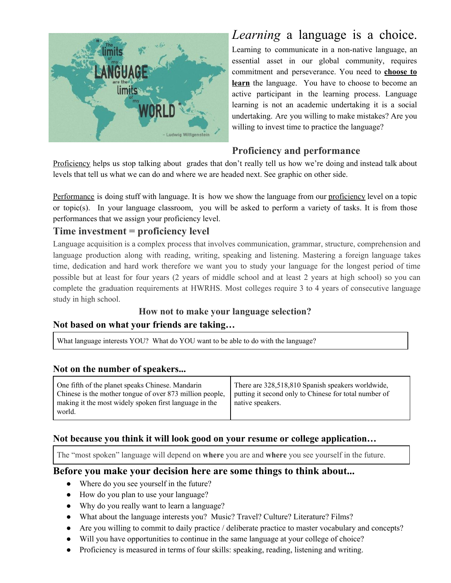

# *Learning* a language is a choice.

Learning to communicate in a non-native language, an essential asset in our global community, requires commitment and perseverance. You need to **choose to learn** the language. You have to choose to become an active participant in the learning process. Language learning is not an academic undertaking it is a social undertaking. Are you willing to make mistakes? Are you willing to invest time to practice the language?

## **Proficiency and performance**

Proficiency helps us stop talking about grades that don't really tell us how we're doing and instead talk about levels that tell us what we can do and where we are headed next. See graphic on other side.

Performance is doing stuff with language. It is how we show the language from our proficiency level on a topic or topic(s). In your language classroom, you will be asked to perform a variety of tasks. It is from those performances that we assign your proficiency level.

#### **Time investment = proficiency level**

Language acquisition is a complex process that involves communication, grammar, structure, comprehension and language production along with reading, writing, speaking and listening. Mastering a foreign language takes time, dedication and hard work therefore we want you to study your language for the longest period of time possible but at least for four years (2 years of middle school and at least 2 years at high school) so you can complete the graduation requirements at HWRHS. Most colleges require 3 to 4 years of consecutive language study in high school.

## **How not to make your language selection? Not based on what your friends are taking…**

What language interests YOU? What do YOU want to be able to do with the language?

#### **Not on the number of speakers...**

| One fifth of the planet speaks Chinese. Mandarin<br>Chinese is the mother tongue of over 873 million people,<br>making it the most widely spoken first language in the<br>world. | There are 328,518,810 Spanish speakers worldwide,<br>putting it second only to Chinese for total number of<br>native speakers. |
|----------------------------------------------------------------------------------------------------------------------------------------------------------------------------------|--------------------------------------------------------------------------------------------------------------------------------|
|----------------------------------------------------------------------------------------------------------------------------------------------------------------------------------|--------------------------------------------------------------------------------------------------------------------------------|

#### **Not because you think it will look good on your resume or college application…**

The "most spoken" language will depend on **where** you are and **where** you see yourself in the future.

#### **Before you make your decision here are some things to think about...**

- Where do you see yourself in the future?
- How do you plan to use your language?
- Why do you really want to learn a language?
- What about the language interests you? Music? Travel? Culture? Literature? Films?
- Are you willing to commit to daily practice / deliberate practice to master vocabulary and concepts?
- Will you have opportunities to continue in the same language at your college of choice?
- Proficiency is measured in terms of four skills: speaking, reading, listening and writing.